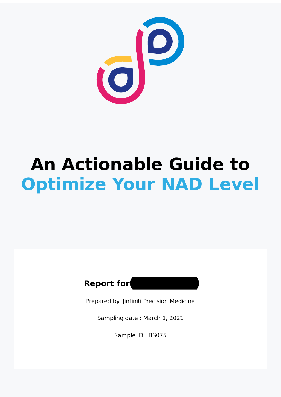

# **An Actionable Guide to Optimize Your NAD Level**



Prepared by: Jinfiniti Precision Medicine

Sampling date : March 1, 2021

Sample ID : BS075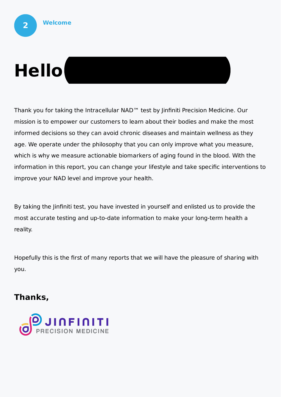# **Hello**

Thank you for taking the Intracellular NAD™ test by Jinfiniti Precision Medicine. Our mission is to empower our customers to learn about their bodies and make the most informed decisions so they can avoid chronic diseases and maintain wellness as they age. We operate under the philosophy that you can only improve what you measure, which is why we measure actionable biomarkers of aging found in the blood. With the information in this report, you can change your lifestyle and take specific interventions to improve your NAD level and improve your health.

By taking the Jinfiniti test, you have invested in yourself and enlisted us to provide the most accurate testing and up-to-date information to make your long-term health a reality.

Hopefully this is the first of many reports that we will have the pleasure of sharing with you.

#### **Thanks,**

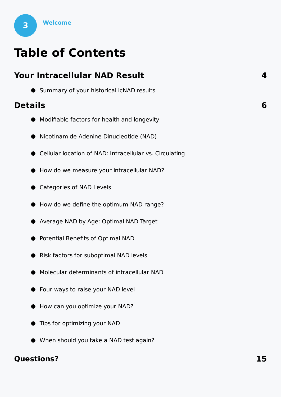

## **Table of Contents**

| <b>Your Intracellular NAD Result</b>                    | 4 |
|---------------------------------------------------------|---|
| • Summary of your historical icNAD results              |   |
| <b>Details</b>                                          | 6 |
| • Modifiable factors for health and longevity           |   |
| Nicotinamide Adenine Dinucleotide (NAD)                 |   |
| Cellular location of NAD: Intracellular vs. Circulating |   |
| How do we measure your intracellular NAD?               |   |
| <b>Categories of NAD Levels</b>                         |   |
| How do we define the optimum NAD range?                 |   |
| Average NAD by Age: Optimal NAD Target                  |   |
| Potential Benefits of Optimal NAD                       |   |
| Risk factors for suboptimal NAD levels                  |   |
| Molecular determinants of intracellular NAD             |   |
| <b>S</b> Four ways to raise your NAD level              |   |
| How can you optimize your NAD?                          |   |
| Tips for optimizing your NAD                            |   |
| ● When should you take a NAD test again?                |   |

#### **Questions? 15**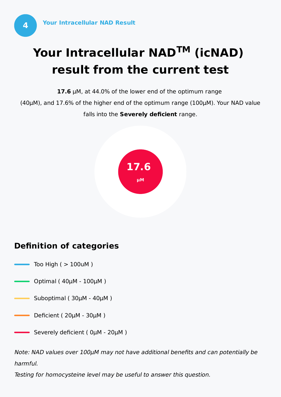## **Your Intracellular NADTM (icNAD) result from the current test**

**17.6** μM, at 44.0% of the lower end of the optimum range

(40μM), and 17.6% of the higher end of the optimum range (100μM). Your NAD value falls into the **Severely deficient** range.



### **Definition of categories**

- Too High  $($  > 100uM  $)$
- Optimal ( 40μM 100μM )
- Suboptimal ( 30μM 40μM )
- $\cdot$  Deficient ( 20 $\mu$ M 30 $\mu$ M )
- Severely deficient ( 0μM 20μM )

Note: NAD values over 100μM may not have additional benefits and can potentially be harmful.

Testing for homocysteine level may be useful to answer this question.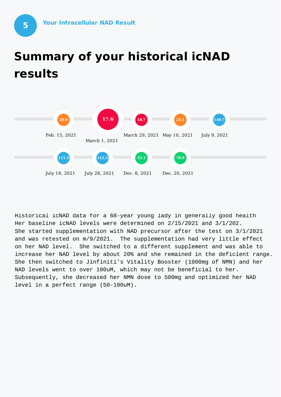## **Summary of your historical icNAD results**



Historical icNAD data for a 68-year young lady in generally good health Her baseline icNAD levels were determined on 2/15/2021 and 3/1/202. She started supplementation with NAD precursor after the test on 3/1/2021 and was retested on m/9/2021. The supplementation had very little effect on her NAD level. She switched to a different supplement and was able to increase her NAD level by about 20% and she remained in the deficient range. She then switched to Jinfiniti's Vitality Booster (1000mg of NMN) and her NAD levels went to over 100uM, which may not be beneficial to her. Subsequently, she decreased her NMN dose to 500mg and optimized her NAD level in a perfect range (50-100uM).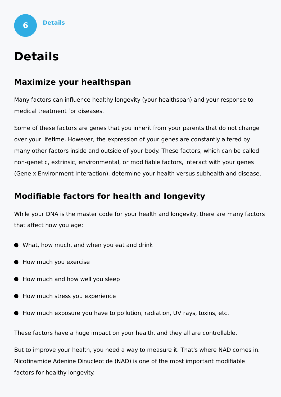

## **Details**

#### **Maximize your healthspan**

Many factors can influence healthy longevity (your healthspan) and your response to medical treatment for diseases.

Some of these factors are genes that you inherit from your parents that do not change over your lifetime. However, the expression of your genes are constantly altered by many other factors inside and outside of your body. These factors, which can be called non-genetic, extrinsic, environmental, or modifiable factors, interact with your genes (Gene x Environment Interaction), determine your health versus subhealth and disease.

### **Modifiable factors for health and longevity**

While your DNA is the master code for your health and longevity, there are many factors that affect how you age:

- What, how much, and when you eat and drink
- How much you exercise
- How much and how well you sleep
- How much stress you experience
- How much exposure you have to pollution, radiation, UV rays, toxins, etc.

These factors have a huge impact on your health, and they all are controllable.

But to improve your health, you need a way to measure it. That's where NAD comes in. Nicotinamide Adenine Dinucleotide (NAD) is one of the most important modifiable factors for healthy longevity.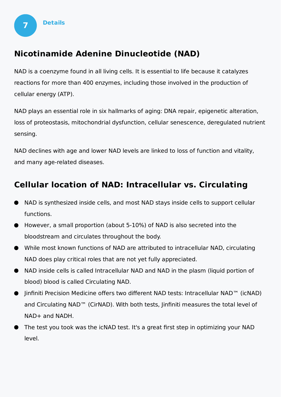

#### **Nicotinamide Adenine Dinucleotide (NAD)**

NAD is a coenzyme found in all living cells. It is essential to life because it catalyzes reactions for more than 400 enzymes, including those involved in the production of cellular energy (ATP).

NAD plays an essential role in six hallmarks of aging: DNA repair, epigenetic alteration, loss of proteostasis, mitochondrial dysfunction, cellular senescence, deregulated nutrient sensing.

NAD declines with age and lower NAD levels are linked to loss of function and vitality, and many age-related diseases.

### **Cellular location of NAD: Intracellular vs. Circulating**

- NAD is synthesized inside cells, and most NAD stays inside cells to support cellular functions.
- However, a small proportion (about 5-10%) of NAD is also secreted into the bloodstream and circulates throughout the body.
- While most known functions of NAD are attributed to intracellular NAD, circulating NAD does play critical roles that are not yet fully appreciated.
- NAD inside cells is called Intracellular NAD and NAD in the plasm (liquid portion of blood) blood is called Circulating NAD.
- Jinfiniti Precision Medicine offers two different NAD tests: Intracellular NAD™ (icNAD)  $\bullet$ and Circulating NAD™ (CirNAD). With both tests, Jinfiniti measures the total level of NAD+ and NADH.
- The test you took was the icNAD test. It's a great first step in optimizing your NAD level.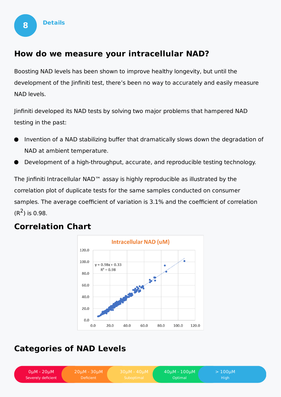

#### **How do we measure your intracellular NAD?**

Boosting NAD levels has been shown to improve healthy longevity, but until the development of the Jinfiniti test, there's been no way to accurately and easily measure NAD levels.

Jinfiniti developed its NAD tests by solving two major problems that hampered NAD testing in the past:

- Invention of a NAD stabilizing buffer that dramatically slows down the degradation of NAD at ambient temperature.
- Development of a high-throughput, accurate, and reproducible testing technology.

The Jinfiniti Intracellular NAD™ assay is highly reproducible as illustrated by the correlation plot of duplicate tests for the same samples conducted on consumer samples. The average coefficient of variation is 3.1% and the coefficient of correlation  $(R^2)$  is 0.98.

#### **Correlation Chart**



### **Categories of NAD Levels**

0μM - 20μM Severely deficient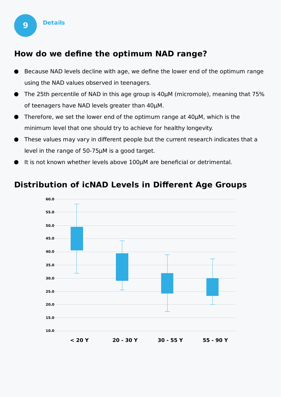

#### **How do we define the optimum NAD range?**

- Because NAD levels decline with age, we define the lower end of the optimum range using the NAD values observed in teenagers.
- The 25th percentile of NAD in this age group is 40μM (micromole), meaning that 75% of teenagers have NAD levels greater than 40μM.
- Therefore, we set the lower end of the optimum range at 40μM, which is the minimum level that one should try to achieve for healthy longevity.
- These values may vary in different people but the current research indicates that a level in the range of 50-75μM is a good target.
- It is not known whether levels above 100μM are beneficial or detrimental.

#### **Distribution of icNAD Levels in Different Age Groups**

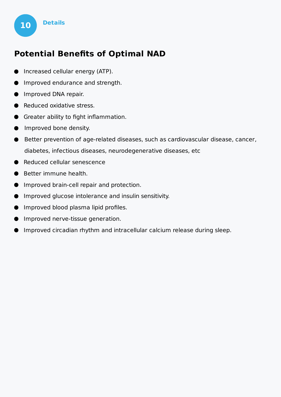

- **Increased cellular energy (ATP).**
- Improved endurance and strength.  $\bullet$
- **Improved DNA repair.**

**10 Details**

- Reduced oxidative stress.
- **Greater ability to fight inflammation.**
- **Improved bone density.**
- Better prevention of age-related diseases, such as cardiovascular disease, cancer,  $\bullet$ diabetes, infectious diseases, neurodegenerative diseases, etc
- Reduced cellular senescence
- Better immune health.
- **Improved brain-cell repair and protection.**
- **Improved glucose intolerance and insulin sensitivity.**
- **Improved blood plasma lipid profiles.**
- **Improved nerve-tissue generation.**
- Improved circadian rhythm and intracellular calcium release during sleep.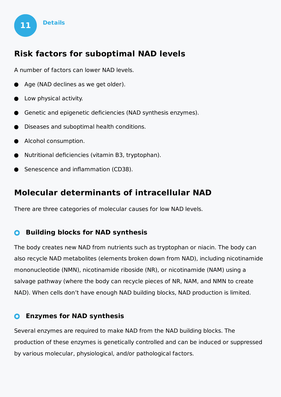

#### **Risk factors for suboptimal NAD levels**

A number of factors can lower NAD levels.

- Age (NAD declines as we get older).
- Low physical activity.
- Genetic and epigenetic deficiencies (NAD synthesis enzymes).
- Diseases and suboptimal health conditions.
- Alcohol consumption.
- Nutritional deficiencies (vitamin B3, tryptophan).
- Senescence and inflammation (CD38).

#### **Molecular determinants of intracellular NAD**

There are three categories of molecular causes for low NAD levels.

#### **Building blocks for NAD synthesis**  $\bullet$

The body creates new NAD from nutrients such as tryptophan or niacin. The body can also recycle NAD metabolites (elements broken down from NAD), including nicotinamide mononucleotide (NMN), nicotinamide riboside (NR), or nicotinamide (NAM) using a salvage pathway (where the body can recycle pieces of NR, NAM, and NMN to create NAD). When cells don't have enough NAD building blocks, NAD production is limited.

#### **Enzymes for NAD synthesis**  $\mathbf{O}$

Several enzymes are required to make NAD from the NAD building blocks. The production of these enzymes is genetically controlled and can be induced or suppressed by various molecular, physiological, and/or pathological factors.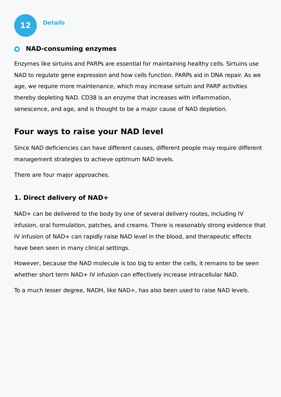#### **NAD-consuming enzymes**

Enzymes like sirtuins and PARPs are essential for maintaining healthy cells. Sirtuins use NAD to regulate gene expression and how cells function. PARPs aid in DNA repair. As we age, we require more maintenance, which may increase sirtuin and PARP activities thereby depleting NAD. CD38 is an enzyme that increases with inflammation, senescence, and age, and is thought to be a major cause of NAD depletion.

#### **Four ways to raise your NAD level**

Since NAD deficiencies can have different causes, different people may require different management strategies to achieve optimum NAD levels.

There are four major approaches.

#### **1. Direct delivery of NAD+**

NAD+ can be delivered to the body by one of several delivery routes, including IV infusion, oral formulation, patches, and creams. There is reasonably strong evidence that IV infusion of NAD+ can rapidly raise NAD level in the blood, and therapeutic effects have been seen in many clinical settings.

However, because the NAD molecule is too big to enter the cells, it remains to be seen whether short term NAD+ IV infusion can effectively increase intracellular NAD.

To a much lesser degree, NADH, like NAD+, has also been used to raise NAD levels.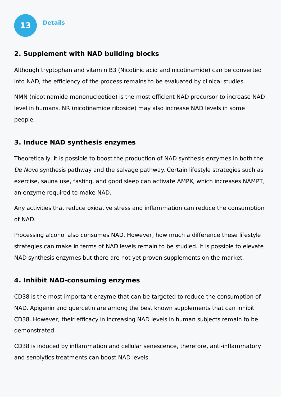

#### **2. Supplement with NAD building blocks**

Although tryptophan and vitamin B3 (Nicotinic acid and nicotinamide) can be converted into NAD, the efficiency of the process remains to be evaluated by clinical studies.

NMN (nicotinamide mononucleotide) is the most efficient NAD precursor to increase NAD level in humans. NR (nicotinamide riboside) may also increase NAD levels in some people.

#### **3. Induce NAD synthesis enzymes**

Theoretically, it is possible to boost the production of NAD synthesis enzymes in both the De Novo synthesis pathway and the salvage pathway. Certain lifestyle strategies such as exercise, sauna use, fasting, and good sleep can activate AMPK, which increases NAMPT, an enzyme required to make NAD.

Any activities that reduce oxidative stress and inflammation can reduce the consumption of NAD.

Processing alcohol also consumes NAD. However, how much a difference these lifestyle strategies can make in terms of NAD levels remain to be studied. It is possible to elevate NAD synthesis enzymes but there are not yet proven supplements on the market.

#### **4. Inhibit NAD-consuming enzymes**

CD38 is the most important enzyme that can be targeted to reduce the consumption of NAD. Apigenin and quercetin are among the best known supplements that can inhibit CD38. However, their efficacy in increasing NAD levels in human subjects remain to be demonstrated.

CD38 is induced by inflammation and cellular senescence, therefore, anti-inflammatory and senolytics treatments can boost NAD levels.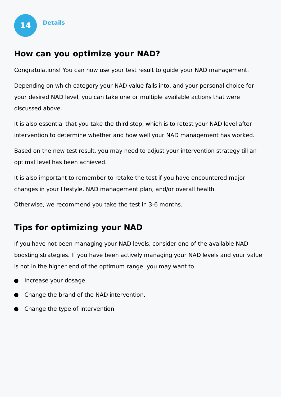

#### **How can you optimize your NAD?**

Congratulations! You can now use your test result to guide your NAD management.

Depending on which category your NAD value falls into, and your personal choice for your desired NAD level, you can take one or multiple available actions that were discussed above.

It is also essential that you take the third step, which is to retest your NAD level after intervention to determine whether and how well your NAD management has worked.

Based on the new test result, you may need to adjust your intervention strategy till an optimal level has been achieved.

It is also important to remember to retake the test if you have encountered major changes in your lifestyle, NAD management plan, and/or overall health.

Otherwise, we recommend you take the test in 3-6 months.

#### **Tips for optimizing your NAD**

If you have not been managing your NAD levels, consider one of the available NAD boosting strategies. If you have been actively managing your NAD levels and your value is not in the higher end of the optimum range, you may want to

- Increase your dosage.
- Change the brand of the NAD intervention.
- Change the type of intervention.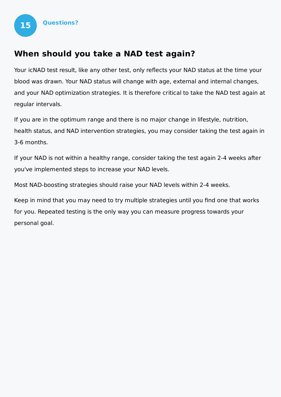

#### **When should you take a NAD test again?**

Your icNAD test result, like any other test, only reflects your NAD status at the time your blood was drawn. Your NAD status will change with age, external and internal changes, and your NAD optimization strategies. It is therefore critical to take the NAD test again at regular intervals.

If you are in the optimum range and there is no major change in lifestyle, nutrition, health status, and NAD intervention strategies, you may consider taking the test again in 3-6 months.

If your NAD is not within a healthy range, consider taking the test again 2-4 weeks after you've implemented steps to increase your NAD levels.

Most NAD-boosting strategies should raise your NAD levels within 2-4 weeks.

Keep in mind that you may need to try multiple strategies until you find one that works for you. Repeated testing is the only way you can measure progress towards your personal goal.